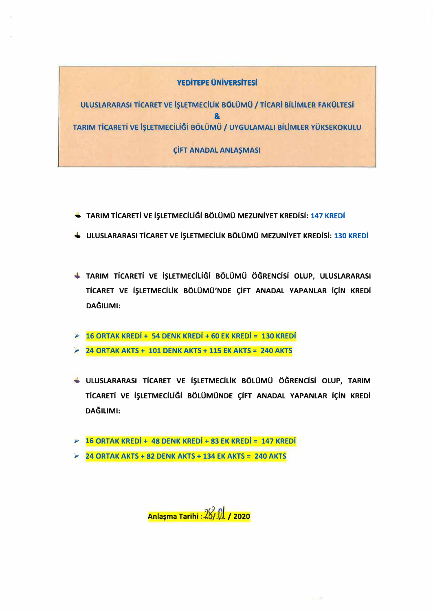# **YEDİTEPE ÜNİVERSİTESİ**

ULUSLARARASI TİCARET VE İŞLETMECİLİK BÖLÜMÜ / TİCARİ BİLİMLER FAKÜLTESİ 8 TARIM TİCARETİ VE İSLETMECİLİĞİ BÖLÜMÜ / UYGULAMALI BİLİMLER YÜKSEKOKULU

**CİFT ANADAL ANLAŞMASI** 

- ← TARIM TİCARETİ VE İŞLETMECİLİĞİ BÖLÜMÜ MEZUNİYET KREDİSİ: 147 KREDİ
- ULUSLARARASI TİCARET VE İŞLETMECİLİK BÖLÜMÜ MEZUNİYET KREDİSİ: 130 KREDİ
- + TARIM TİCARETİ VE İŞLETMECİLİĞI BÖLÜMÜ ÖĞRENCISI OLUP, ULUSLARARASI TİCARET VE İŞLETMECİLİK BÖLÜMÜ'NDE ÇİFT ANADAL YAPANLAR İÇİN KREDİ **DAĞILIMI:**
- $\geq 16$  ORTAK KREDİ + 54 DENK KREDİ + 60 EK KREDİ = 130 KREDİ
- $\geq$  24 ORTAK AKTS + 101 DENK AKTS + 115 EK AKTS = 240 AKTS
- ULUSLARARASI TİCARET VE İŞLETMECİLİK BÖLÜMÜ ÖĞRENCİSİ OLUP, TARIM TİCARETİ VE İŞLETMECİLİĞİ BÖLÜMÜNDE ÇİFT ANADAL YAPANLAR İÇİN KREDİ DAĞILIMI:
- $\geq 16$  ORTAK KREDİ + 48 DENK KREDİ + 83 EK KREDİ = 147 KREDİ
- $\approx$  24 ORTAK AKTS + 82 DENK AKTS + 134 EK AKTS = 240 AKTS

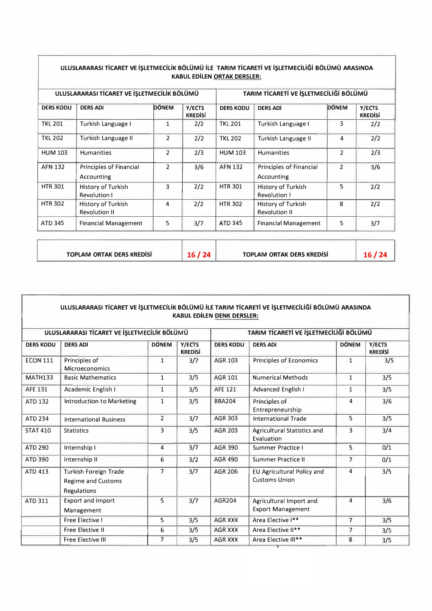| ULUSLARARASI TİCARET VE İŞLETMECİLİK BÖLÜMÜ |                                            |                |                          | TARIM TİCARETİ VE İŞLETMECİLİĞİ BÖLÜMÜ |                                            |                |                          |
|---------------------------------------------|--------------------------------------------|----------------|--------------------------|----------------------------------------|--------------------------------------------|----------------|--------------------------|
| <b>DERS KODU</b>                            | <b>DERS ADI</b>                            | <b>DÖNEM</b>   | Y/ECTS<br><b>KREDISI</b> | <b>DERS KODU</b>                       | <b>DERS ADI</b>                            | <b>DÖNEM</b>   | Y/ECTS<br><b>KREDISI</b> |
| <b>TKL 201</b>                              | Turkish Language I                         | 1              | 2/2                      | <b>TKL 201</b>                         | Turkish Language I                         | 3              | 2/2                      |
| <b>TKL 202</b>                              | Turkish Language II                        | $\overline{2}$ | 2/2                      | <b>TKL 202</b>                         | Turkish Language II                        | 4              | 2/2                      |
| <b>HUM 103</b>                              | <b>Humanities</b>                          | $\overline{2}$ | 2/3                      | <b>HUM 103</b>                         | <b>Humanities</b>                          | $\overline{2}$ | 2/3                      |
| <b>AFN 132</b>                              | Principles of Financial<br>Accounting      | $\overline{2}$ | 3/6                      | <b>AFN 132</b>                         | Principles of Financial<br>Accounting      | $\overline{2}$ | 3/6                      |
| <b>HTR 301</b>                              | History of Turkish<br><b>Revolution I</b>  | 3              | 2/2                      | <b>HTR 301</b>                         | History of Turkish<br><b>Revolution I</b>  | 5              | 2/2                      |
| <b>HTR 302</b>                              | History of Turkish<br><b>Revolution II</b> | 4              | 2/2                      | <b>HTR 302</b>                         | History of Turkish<br><b>Revolution II</b> | 8              | 2/2                      |
| <b>ATD 345</b>                              | <b>Financial Management</b>                | 5              | 3/7                      | <b>ATD 345</b>                         | <b>Financial Management</b>                | 5              | 3/7                      |

## ULUSLARARASI TİCARET VE İŞLETMECİLIK BÖLÜMÜ İLE TARIM TİCARETİ VE İŞLETMECİLIĞI BÖLÜMÜ ARASI<mark>NDA</mark> **KABUL EDiLEN ORTAK DERSLER:**

**TOPLAM ORTAK DERS KREDiSi 16/ 24 TOPLAM ORTAK DERS KREDiSi 16/ 24** 

| ULUSLARARASI TICARET VE İŞLETMECILIK BÖLÜMÜ İLE TARIM TICARETI VE İŞLETMECILIĞI BÖLÜMÜ ARASINDA<br><b>KABUL EDİLEN DENK DERSLER:</b> |                                                                          |                         |                                        |                  |                                                     |                |                          |
|--------------------------------------------------------------------------------------------------------------------------------------|--------------------------------------------------------------------------|-------------------------|----------------------------------------|------------------|-----------------------------------------------------|----------------|--------------------------|
| ULUSLARARASI TİCARET VE İŞLETMECİLİK BÖLÜMÜ                                                                                          |                                                                          |                         | TARIM TİCARETİ VE İŞLETMECİLİĞİ BÖLÜMÜ |                  |                                                     |                |                          |
| <b>DERS KODU</b>                                                                                                                     | <b>DERS ADI</b>                                                          | <b>DÖNEM</b>            | Y/ECTS<br><b>KREDISİ</b>               | <b>DERS KODU</b> | <b>DERS ADI</b>                                     | <b>DÖNEM</b>   | Y/ECTS<br><b>KREDISİ</b> |
| <b>ECON 111</b>                                                                                                                      | Principles of<br><b>Microeconomics</b>                                   | $\mathbf{1}$            | 3/7                                    | <b>AGR 103</b>   | Principles of Economics                             | $\mathbf{1}$   | 3/5                      |
| <b>MATH133</b>                                                                                                                       | <b>Basic Mathematics</b>                                                 | $\mathbf{1}$            | 3/5                                    | AGR 101          | <b>Numerical Methods</b>                            | $\mathbf{1}$   | 3/5                      |
| <b>AFE 131</b>                                                                                                                       | Academic English I                                                       | $\mathbf{1}$            | 3/5                                    | <b>AFE 121</b>   | Advanced English I                                  | $\mathbf{1}$   | 3/5                      |
| <b>ATD 132</b>                                                                                                                       | Introduction to Marketing                                                | $\mathbf{1}$            | 3/5                                    | <b>BBA204</b>    | Principles of<br>Entrepreneurship                   | 4              | 3/6                      |
| <b>ATD 234</b>                                                                                                                       | <b>International Business</b>                                            | $\overline{2}$          | 3/7                                    | <b>AGR 303</b>   | <b>International Trade</b>                          | 5              | 3/5                      |
| <b>STAT 410</b>                                                                                                                      | <b>Statistics</b>                                                        | 3                       | 3/5                                    | <b>AGR 203</b>   | Agricultural Statistics and<br>Evaluation           | 3              | 3/4                      |
| ATD 290                                                                                                                              | Internship I                                                             | 4                       | 3/7                                    | <b>AGR 390</b>   | Summer Practice I                                   | 5              | 0/1                      |
| ATD 390                                                                                                                              | Internship II                                                            | 6                       | 3/2                                    | AGR 490          | <b>Summer Practice II</b>                           | $\overline{7}$ | 0/1                      |
| <b>ATD 413</b>                                                                                                                       | Turkish Foreign Trade<br><b>Regime and Customs</b><br><b>Regulations</b> | $\overline{7}$          | 3/7                                    | AGR 206          | EU Agricultural Policy and<br><b>Customs Union</b>  | 4              | 3/5                      |
| <b>ATD 311</b>                                                                                                                       | <b>Export and Import</b><br>Management                                   | 5                       | 3/7                                    | AGR204           | Agricultural Import and<br><b>Export Management</b> | 4              | 3/6                      |
|                                                                                                                                      | <b>Free Elective I</b>                                                   | $\overline{\mathbf{5}}$ | 3/5                                    | <b>AGR XXX</b>   | Area Elective I**                                   | $\overline{7}$ | 3/5                      |
|                                                                                                                                      | <b>Free Elective II</b>                                                  | 6                       | 3/5                                    | AGR XXX          | Area Elective II**                                  | $\overline{7}$ | 3/5                      |
|                                                                                                                                      | <b>Free Elective III</b>                                                 | $\overline{7}$          | 3/5                                    | <b>AGR XXX</b>   | Area Elective III**                                 | 8              | 3/5                      |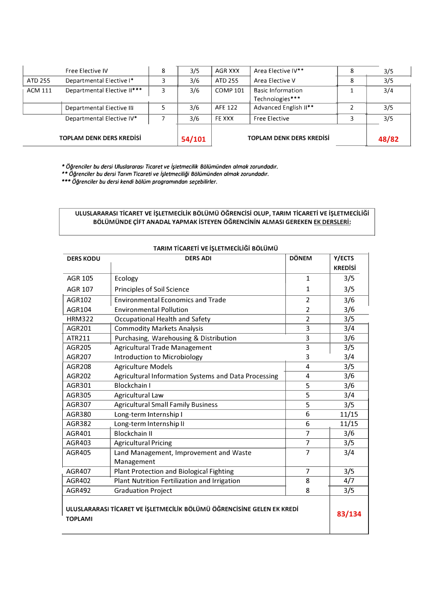|                                 | Free Elective IV            | 8   | 3/5    | AGR XXX              | Area Elective IV**                          | 3/5   |
|---------------------------------|-----------------------------|-----|--------|----------------------|---------------------------------------------|-------|
| ATD 255                         | Departmental Elective I*    |     | 3/6    | ATD 255              | Area Elective V                             | 3/5   |
| <b>ACM 111</b>                  | Departmental Elective II*** | 3   | 3/6    | <b>COMP 101</b>      | <b>Basic Information</b><br>Technologies*** | 3/4   |
|                                 | Departmental Elective III   |     | 3/6    | AFE 122              | Advanced English II**                       | 3/5   |
| Departmental Elective IV*       |                             | 3/6 | FE XXX | <b>Free Elective</b> | 3/5                                         |       |
| <b>TOPLAM DENK DERS KREDISI</b> |                             |     | 54/101 |                      | <b>TOPLAM DENK DERS KREDISI</b>             | 48/82 |

*\* Ogrenciler bu dersi Uluslararas, Ticaret ve i5letmecilik Boliimiinden almak zorundadtr.* 

*\*\* Ogrenciler bu dersi Tar,m Ticareti ve i5letmeciligi Boliimiinden almak zorundadtr.* 

*\*\*\* Ogrenciler bu dersi kendi boliim programmdan se�ebilirler.* 

## ULUSLARARASI TICARET VE İŞLETMECILIK BÖLÜMÜ ÖĞRENCISI OLUP, TARIM TICARETI VE İŞLETMECILIĞI **BOL0M0NDE c;iFT ANADAL VAPMAK iSTEVEN OGRENCiNiN ALMASI GEREKEN EK DERSLERi:**

| <b>DERS KODU</b>                                                                         | <b>IANINI TICANETI VE IŞLETIVILCILIĞI BOLUNIU</b><br><b>DERS ADI</b> | <b>DÖNEM</b>   | Y/ECTS         |  |
|------------------------------------------------------------------------------------------|----------------------------------------------------------------------|----------------|----------------|--|
|                                                                                          |                                                                      |                | <b>KREDISİ</b> |  |
| <b>AGR 105</b>                                                                           | Ecology                                                              | $\mathbf{1}$   | 3/5            |  |
| <b>AGR 107</b>                                                                           | <b>Principles of Soil Science</b>                                    | 1              | 3/5            |  |
| AGR102                                                                                   | <b>Environmental Economics and Trade</b>                             |                | 3/6            |  |
| AGR104                                                                                   | <b>Environmental Pollution</b>                                       |                | 3/6            |  |
| <b>HRM322</b>                                                                            | Occupational Health and Safety                                       |                | 3/5            |  |
| AGR201                                                                                   | <b>Commodity Markets Analysis</b>                                    | $\overline{3}$ | 3/4            |  |
| ATR211                                                                                   | Purchasing, Warehousing & Distribution                               | 3              | 3/6            |  |
| AGR205                                                                                   | <b>Agricultural Trade Management</b>                                 | 3              | 3/5            |  |
| AGR207                                                                                   | Introduction to Microbiology                                         | 3              | 3/4            |  |
| AGR208                                                                                   | <b>Agriculture Models</b>                                            | 4              | 3/5            |  |
| AGR202                                                                                   | Agricultural Information Systems and Data Processing                 |                | 3/6            |  |
| AGR301                                                                                   | <b>Blockchain I</b>                                                  | 5              | 3/6            |  |
| AGR305                                                                                   | Agricultural Law                                                     |                | 3/4            |  |
| <b>Agricultural Small Family Business</b><br>AGR307                                      |                                                                      | 5              | 3/5            |  |
| Long-term Internship I<br>AGR380                                                         |                                                                      | 6              | 11/15          |  |
| AGR382                                                                                   | Long-term Internship II                                              | 6              | 11/15          |  |
| AGR401                                                                                   | <b>Blockchain II</b>                                                 | $\overline{7}$ | 3/6            |  |
| AGR403                                                                                   | <b>Agricultural Pricing</b>                                          | $\overline{7}$ | 3/5            |  |
| AGR405                                                                                   | Land Management, Improvement and Waste                               | 7              | 3/4            |  |
|                                                                                          | Management                                                           |                |                |  |
| AGR407                                                                                   | <b>Plant Protection and Biological Fighting</b>                      | 7              | 3/5            |  |
| AGR402                                                                                   | Plant Nutrition Fertilization and Irrigation                         | 8              | 4/7            |  |
| <b>AGR492</b>                                                                            | <b>Graduation Project</b>                                            | 8              | 3/5            |  |
| ULUSLARARASI TİCARET VE İŞLETMECİLİK BÖLÜMÜ ÖĞRENCİSİNE GELEN EK KREDİ<br><b>TOPLAMI</b> |                                                                      |                |                |  |

### **TARIM TICARETI VE ISI ETMECILIĞI BÖLÜMLÜ**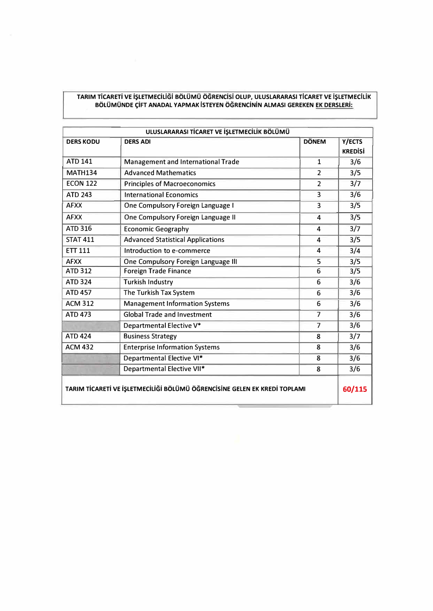### **TARIM TiCARETi VE iSLETMECiLiGi BOL0M0 OGRENCisi OLUP, ULUSLARARASI TICARET VE iSLETMECILiK BOL0M0NDE f;iFT ANADAL VAPMAK ISTEVEN OGRENCiNiN ALMASI GEREKEN EK DERSLERi:**

| <b>DERS KODU</b> | <b>DERS ADI</b>                                                           | <b>DÖNEM</b>   | Y/ECTS<br><b>KREDISİ</b> |
|------------------|---------------------------------------------------------------------------|----------------|--------------------------|
| <b>ATD 141</b>   | Management and International Trade                                        | $\mathbf{1}$   | 3/6                      |
| <b>MATH134</b>   | <b>Advanced Mathematics</b>                                               | $\overline{2}$ | 3/5                      |
| <b>ECON 122</b>  | <b>Principles of Macroeconomics</b>                                       | $\overline{2}$ | 3/7                      |
| <b>ATD 243</b>   | <b>International Economics</b>                                            | 3              | 3/6                      |
| <b>AFXX</b>      | One Compulsory Foreign Language I                                         | 3              | 3/5                      |
| <b>AFXX</b>      | One Compulsory Foreign Language II                                        | 4              | 3/5                      |
| <b>ATD 316</b>   | <b>Economic Geography</b>                                                 | 4              | 3/7                      |
| <b>STAT 411</b>  | <b>Advanced Statistical Applications</b>                                  | 4              | 3/5                      |
| <b>ETT 111</b>   | Introduction to e-commerce                                                | 4              | 3/4                      |
| <b>AFXX</b>      | One Compulsory Foreign Language III                                       | 5              | 3/5                      |
| <b>ATD 312</b>   | <b>Foreign Trade Finance</b>                                              | 6              | 3/5                      |
| <b>ATD 324</b>   | <b>Turkish Industry</b>                                                   | 6              | 3/6                      |
| <b>ATD 457</b>   | The Turkish Tax System                                                    | 6              | 3/6                      |
| <b>ACM 312</b>   | <b>Management Information Systems</b>                                     | 6              | 3/6                      |
| <b>ATD 473</b>   | <b>Global Trade and Investment</b>                                        | $\overline{7}$ | 3/6                      |
|                  | Departmental Elective V*                                                  | $\overline{7}$ | 3/6                      |
| <b>ATD 424</b>   | <b>Business Strategy</b>                                                  | 8              | 3/7                      |
| <b>ACM 432</b>   | <b>Enterprise Information Systems</b>                                     | 8              | 3/6                      |
|                  | Departmental Elective VI*                                                 | 8              | 3/6                      |
|                  | Departmental Elective VII*                                                | 8              | 3/6                      |
|                  | TARIM TİCARETİ VE İŞLETMECİLİĞİ BÖLÜMÜ ÖĞRENCİSİNE GELEN EK KREDİ TOPLAMI |                | 60/115                   |